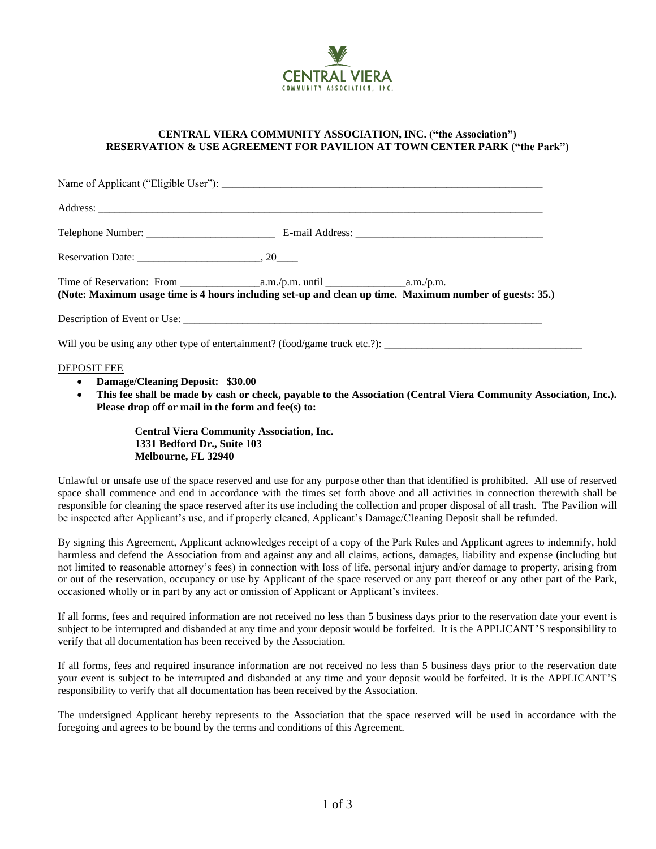

## **CENTRAL VIERA COMMUNITY ASSOCIATION, INC. ("the Association") RESERVATION & USE AGREEMENT FOR PAVILION AT TOWN CENTER PARK ("the Park")**

|                                                                                             | (Note: Maximum usage time is 4 hours including set-up and clean up time. Maximum number of guests: 35.) |
|---------------------------------------------------------------------------------------------|---------------------------------------------------------------------------------------------------------|
|                                                                                             |                                                                                                         |
|                                                                                             | Will you be using any other type of entertainment? (food/game truck etc.?):                             |
| <b>DEPOSIT FEE</b><br>• Damage/Cleaning Deposit: \$30.00<br>the contract of the contract of |                                                                                                         |

• **This fee shall be made by cash or check, payable to the Association (Central Viera Community Association, Inc.). Please drop off or mail in the form and fee(s) to:** 

> **Central Viera Community Association, Inc. 1331 Bedford Dr., Suite 103 Melbourne, FL 32940**

Unlawful or unsafe use of the space reserved and use for any purpose other than that identified is prohibited. All use of reserved space shall commence and end in accordance with the times set forth above and all activities in connection therewith shall be responsible for cleaning the space reserved after its use including the collection and proper disposal of all trash. The Pavilion will be inspected after Applicant's use, and if properly cleaned, Applicant's Damage/Cleaning Deposit shall be refunded.

By signing this Agreement, Applicant acknowledges receipt of a copy of the Park Rules and Applicant agrees to indemnify, hold harmless and defend the Association from and against any and all claims, actions, damages, liability and expense (including but not limited to reasonable attorney's fees) in connection with loss of life, personal injury and/or damage to property, arising from or out of the reservation, occupancy or use by Applicant of the space reserved or any part thereof or any other part of the Park, occasioned wholly or in part by any act or omission of Applicant or Applicant's invitees.

If all forms, fees and required information are not received no less than 5 business days prior to the reservation date your event is subject to be interrupted and disbanded at any time and your deposit would be forfeited. It is the APPLICANT'S responsibility to verify that all documentation has been received by the Association.

If all forms, fees and required insurance information are not received no less than 5 business days prior to the reservation date your event is subject to be interrupted and disbanded at any time and your deposit would be forfeited. It is the APPLICANT'S responsibility to verify that all documentation has been received by the Association.

The undersigned Applicant hereby represents to the Association that the space reserved will be used in accordance with the foregoing and agrees to be bound by the terms and conditions of this Agreement.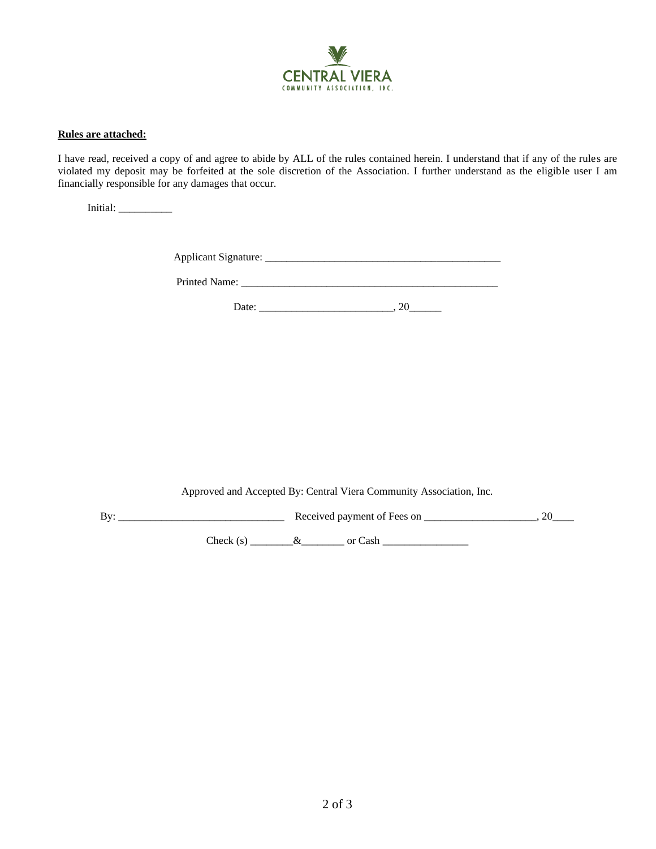

## **Rules are attached:**

I have read, received a copy of and agree to abide by ALL of the rules contained herein. I understand that if any of the rules are violated my deposit may be forfeited at the sole discretion of the Association. I further understand as the eligible user I am financially responsible for any damages that occur.

Initial: \_\_\_\_\_\_\_\_\_\_

Applicant Signature: \_\_\_\_\_\_\_\_\_\_\_\_\_\_\_\_\_\_\_\_\_\_\_\_\_\_\_\_\_\_\_\_\_\_\_\_\_\_\_\_\_\_\_\_

Printed Name: \_\_\_\_\_\_\_\_\_\_\_\_\_\_\_\_\_\_\_\_\_\_\_\_\_\_\_\_\_\_\_\_\_\_\_\_\_\_\_\_\_\_\_\_\_\_\_\_

Date: \_\_\_\_\_\_\_\_\_\_\_\_\_\_\_\_\_\_\_\_\_\_\_\_\_, 20\_\_\_\_\_\_

Approved and Accepted By: Central Viera Community Association, Inc.

By: \_\_\_\_\_\_\_\_\_\_\_\_\_\_\_\_\_\_\_\_\_\_\_\_\_\_\_\_\_\_\_ Received payment of Fees on \_\_\_\_\_\_\_\_\_\_\_\_\_\_\_\_\_\_\_\_\_, 20\_\_\_\_ Check (s) \_\_\_\_\_\_\_\_&\_\_\_\_\_\_\_\_ or Cash \_\_\_\_\_\_\_\_\_\_\_\_\_\_\_\_